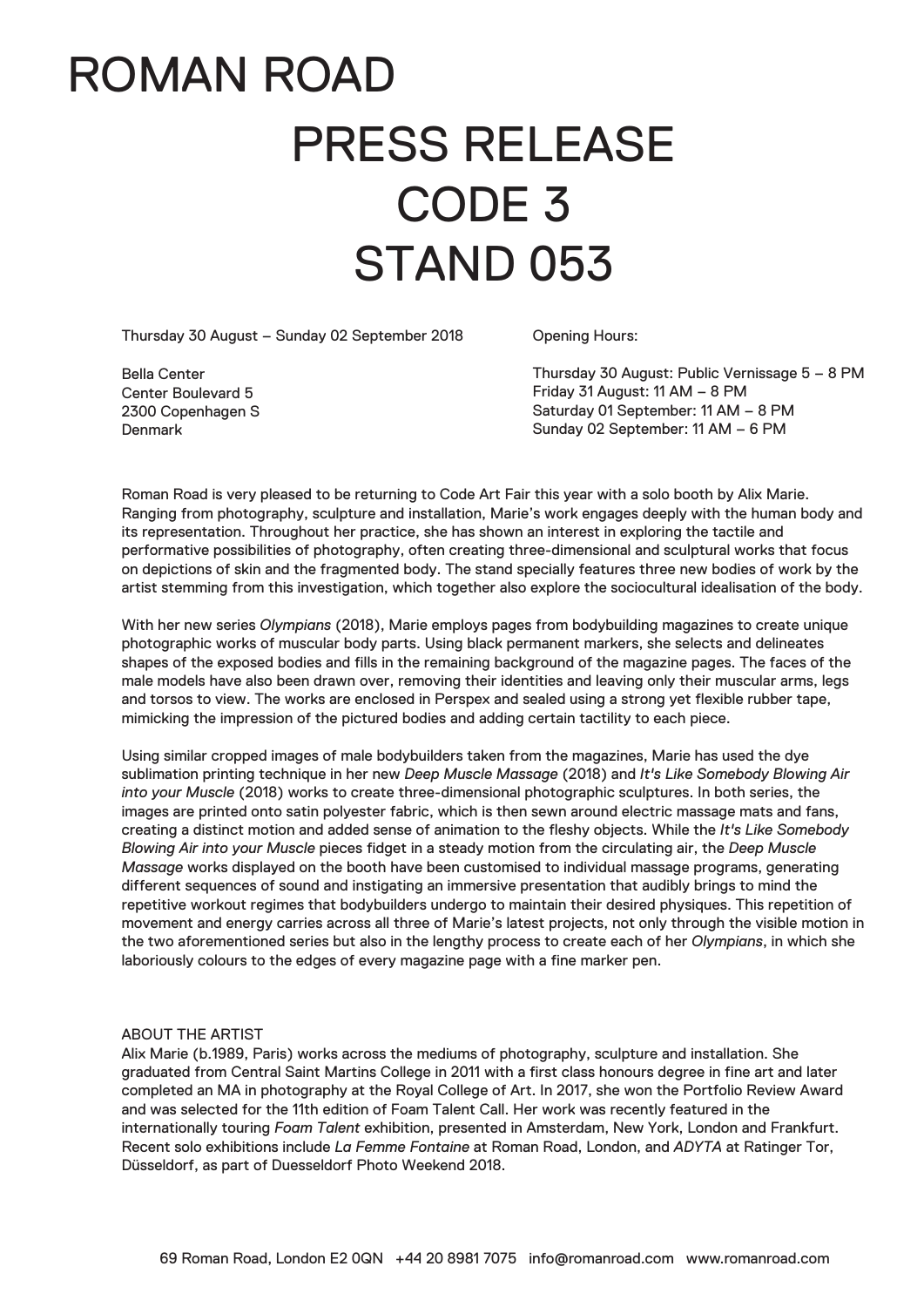## ROMAN ROAD PRESS RELEASE CODE 3 STAND 053

Thursday 30 August – Sunday 02 September 2018

Opening Hours:

Bella Center Center Boulevard 5 2300 Copenhagen S Denmark

Thursday 30 August: Public Vernissage 5 – 8 PM Friday 31 August: 11 AM – 8 PM Saturday 01 September: 11 AM – 8 PM Sunday 02 September: 11 AM – 6 PM

Roman Road is very pleased to be returning to Code Art Fair this year with a solo booth by Alix Marie. Ranging from photography, sculpture and installation, Marie's work engages deeply with the human body and its representation. Throughout her practice, she has shown an interest in exploring the tactile and performative possibilities of photography, often creating three-dimensional and sculptural works that focus on depictions of skin and the fragmented body. The stand specially features three new bodies of work by the artist stemming from this investigation, which together also explore the sociocultural idealisation of the body.

With her new series *Olympians* (2018), Marie employs pages from bodybuilding magazines to create unique photographic works of muscular body parts. Using black permanent markers, she selects and delineates shapes of the exposed bodies and fills in the remaining background of the magazine pages. The faces of the male models have also been drawn over, removing their identities and leaving only their muscular arms, legs and torsos to view. The works are enclosed in Perspex and sealed using a strong yet flexible rubber tape, mimicking the impression of the pictured bodies and adding certain tactility to each piece.

Using similar cropped images of male bodybuilders taken from the magazines, Marie has used the dye sublimation printing technique in her new *Deep Muscle Massage* (2018) and *It's Like Somebody Blowing Air into your Muscle* (2018) works to create three-dimensional photographic sculptures. In both series, the images are printed onto satin polyester fabric, which is then sewn around electric massage mats and fans, creating a distinct motion and added sense of animation to the fleshy objects. While the *It's Like Somebody Blowing Air into your Muscle* pieces fidget in a steady motion from the circulating air, the *Deep Muscle Massage* works displayed on the booth have been customised to individual massage programs, generating different sequences of sound and instigating an immersive presentation that audibly brings to mind the repetitive workout regimes that bodybuilders undergo to maintain their desired physiques. This repetition of movement and energy carries across all three of Marie's latest projects, not only through the visible motion in the two aforementioned series but also in the lengthy process to create each of her *Olympians*, in which she laboriously colours to the edges of every magazine page with a fine marker pen.

## ABOUT THE ARTIST

Alix Marie (b.1989, Paris) works across the mediums of photography, sculpture and installation. She graduated from Central Saint Martins College in 2011 with a first class honours degree in fine art and later completed an MA in photography at the Royal College of Art. In 2017, she won the Portfolio Review Award and was selected for the 11th edition of Foam Talent Call. Her work was recently featured in the internationally touring *Foam Talent* exhibition, presented in Amsterdam, New York, London and Frankfurt. Recent solo exhibitions include *La Femme Fontaine* at Roman Road, London, and *ADYTA* at Ratinger Tor, Düsseldorf, as part of Duesseldorf Photo Weekend 2018.